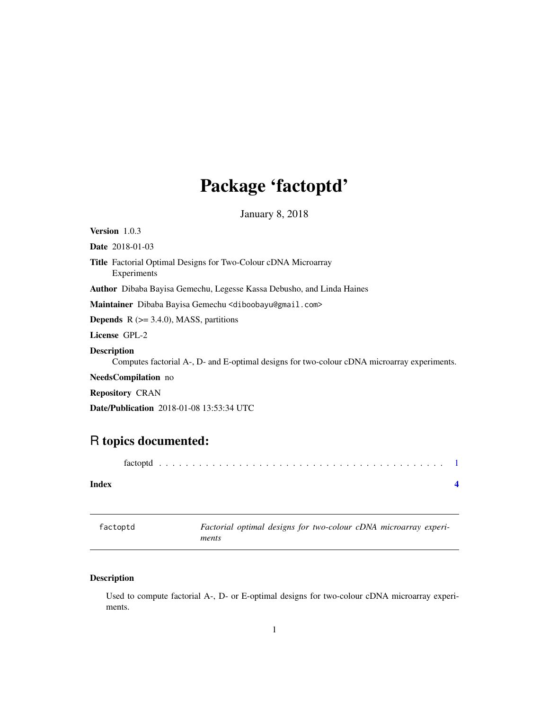## <span id="page-0-0"></span>Package 'factoptd'

January 8, 2018

Version 1.0.3 Date 2018-01-03 Title Factorial Optimal Designs for Two-Colour cDNA Microarray Experiments Author Dibaba Bayisa Gemechu, Legesse Kassa Debusho, and Linda Haines Maintainer Dibaba Bayisa Gemechu <diboobayu@gmail.com> **Depends**  $R$  ( $>= 3.4.0$ ), MASS, partitions License GPL-2 Description Computes factorial A-, D- and E-optimal designs for two-colour cDNA microarray experiments. NeedsCompilation no Repository CRAN Date/Publication 2018-01-08 13:53:34 UTC

### R topics documented:

| Index |  |  |  |  |  |  |  |  |  |  |  |  |  |  |
|-------|--|--|--|--|--|--|--|--|--|--|--|--|--|--|
|       |  |  |  |  |  |  |  |  |  |  |  |  |  |  |

| factoptd | Factorial optimal designs for two-colour cDNA microarray experi- |  |  |  |
|----------|------------------------------------------------------------------|--|--|--|
|          | ments                                                            |  |  |  |

#### Description

Used to compute factorial A-, D- or E-optimal designs for two-colour cDNA microarray experiments.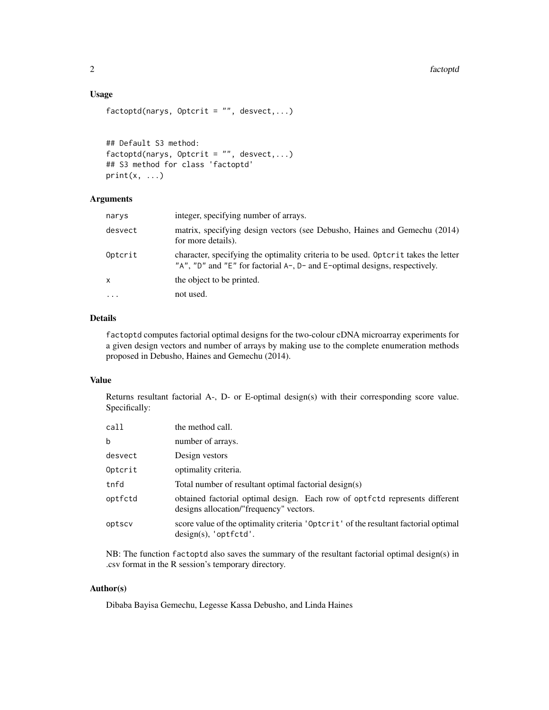#### Usage

```
factoptd(narys, Optcrit = ", desvect,...)
```

```
## Default S3 method:
factored(narys, Optcrit = "", descect, ...)## S3 method for class 'factoptd'
print(x, \ldots)
```
#### Arguments

| narys    | integer, specifying number of arrays.                                                                                                                            |
|----------|------------------------------------------------------------------------------------------------------------------------------------------------------------------|
| desvect  | matrix, specifying design vectors (see Debusho, Haines and Gemechu (2014)<br>for more details).                                                                  |
| Optcrit  | character, specifying the optimality criteria to be used. Optorit takes the letter<br>"A", "D" and "E" for factorial A-, D- and E-optimal designs, respectively. |
| x        | the object to be printed.                                                                                                                                        |
| $\cdots$ | not used.                                                                                                                                                        |

#### Details

factoptd computes factorial optimal designs for the two-colour cDNA microarray experiments for a given design vectors and number of arrays by making use to the complete enumeration methods proposed in Debusho, Haines and Gemechu (2014).

#### Value

Returns resultant factorial A-, D- or E-optimal design(s) with their corresponding score value. Specifically:

| call    | the method call.                                                                                                       |
|---------|------------------------------------------------------------------------------------------------------------------------|
| b       | number of arrays.                                                                                                      |
| desvect | Design vestors                                                                                                         |
| Optcrit | optimality criteria.                                                                                                   |
| tnfd    | Total number of resultant optimal factorial design(s)                                                                  |
| optfctd | obtained factorial optimal design. Each row of optfctd represents different<br>designs allocation/"frequency" vectors. |
| optscv  | score value of the optimality criteria 'Optcrit' of the resultant factorial optimal<br>design(s), 'optfctd'.           |

NB: The function factoptd also saves the summary of the resultant factorial optimal design(s) in .csv format in the R session's temporary directory.

#### Author(s)

Dibaba Bayisa Gemechu, Legesse Kassa Debusho, and Linda Haines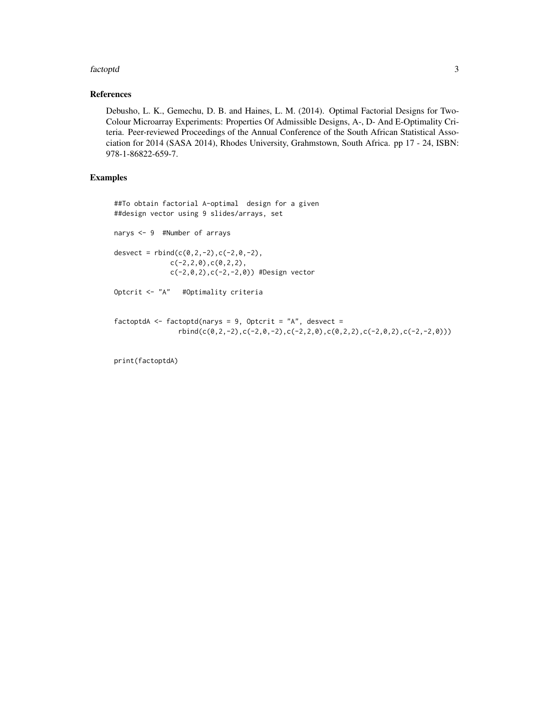#### factoptd 3

#### References

Debusho, L. K., Gemechu, D. B. and Haines, L. M. (2014). Optimal Factorial Designs for Two-Colour Microarray Experiments: Properties Of Admissible Designs, A-, D- And E-Optimality Criteria. Peer-reviewed Proceedings of the Annual Conference of the South African Statistical Association for 2014 (SASA 2014), Rhodes University, Grahmstown, South Africa. pp 17 - 24, ISBN: 978-1-86822-659-7.

#### Examples

```
##To obtain factorial A-optimal design for a given
##design vector using 9 slides/arrays, set
narys <- 9 #Number of arrays
desvect = rbind(c(0, 2, -2), c(-2, 0, -2),c(-2,2,0),c(0,2,2),
              c(-2,0,2),c(-2,-2,0)) #Design vector
Optcrit <- "A" #Optimality criteria
factoptdA <- factoptd(narys = 9, Optcrit = "A", desvect =
                rbind(c(0,2,-2),c(-2,0,-2),c(-2,2,0),c(0,2,2),c(-2,0,2),c(-2,-2,0)))
```
print(factoptdA)